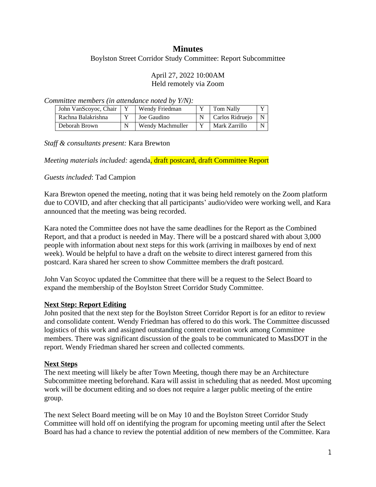# **Minutes**

Boylston Street Corridor Study Committee: Report Subcommittee

### April 27, 2022 10:00AM Held remotely via Zoom

*Committee members (in attendance noted by Y/N):*

| John VanScovoc, Chair | Wendy Friedman   | Tom Nally       | $\mathbf{v}$ |
|-----------------------|------------------|-----------------|--------------|
| Rachna Balakrishna    | Joe Gaudino      | Carlos Ridrueio | N            |
| Deborah Brown         | Wendy Machmuller | Mark Zarrillo   | N            |

*Staff & consultants present:* Kara Brewton

*Meeting materials included: agenda*, draft postcard, draft Committee Report

## *Guests included*: Tad Campion

Kara Brewton opened the meeting, noting that it was being held remotely on the Zoom platform due to COVID, and after checking that all participants' audio/video were working well, and Kara announced that the meeting was being recorded.

Kara noted the Committee does not have the same deadlines for the Report as the Combined Report, and that a product is needed in May. There will be a postcard shared with about 3,000 people with information about next steps for this work (arriving in mailboxes by end of next week). Would be helpful to have a draft on the website to direct interest garnered from this postcard. Kara shared her screen to show Committee members the draft postcard.

John Van Scoyoc updated the Committee that there will be a request to the Select Board to expand the membership of the Boylston Street Corridor Study Committee.

## **Next Step: Report Editing**

John posited that the next step for the Boylston Street Corridor Report is for an editor to review and consolidate content. Wendy Friedman has offered to do this work. The Committee discussed logistics of this work and assigned outstanding content creation work among Committee members. There was significant discussion of the goals to be communicated to MassDOT in the report. Wendy Friedman shared her screen and collected comments.

## **Next Steps**

The next meeting will likely be after Town Meeting, though there may be an Architecture Subcommittee meeting beforehand. Kara will assist in scheduling that as needed. Most upcoming work will be document editing and so does not require a larger public meeting of the entire group.

The next Select Board meeting will be on May 10 and the Boylston Street Corridor Study Committee will hold off on identifying the program for upcoming meeting until after the Select Board has had a chance to review the potential addition of new members of the Committee. Kara